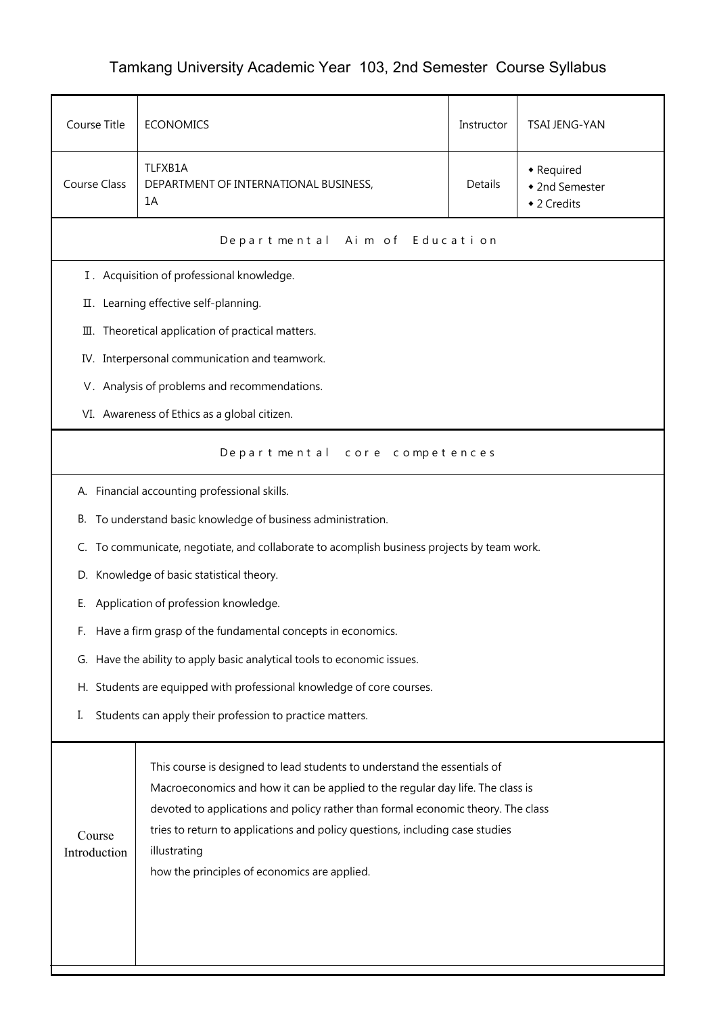## Tamkang University Academic Year 103, 2nd Semester Course Syllabus

| Course Title                                                            | <b>ECONOMICS</b><br>TSAI JENG-YAN<br>Instructor                                                                                                                                                                                                                                                                                                                                                |  |  |  |
|-------------------------------------------------------------------------|------------------------------------------------------------------------------------------------------------------------------------------------------------------------------------------------------------------------------------------------------------------------------------------------------------------------------------------------------------------------------------------------|--|--|--|
| Course Class                                                            | TLFXB1A<br>• Required<br>Details<br>DEPARTMENT OF INTERNATIONAL BUSINESS,<br>◆ 2nd Semester<br>1A<br>◆ 2 Credits                                                                                                                                                                                                                                                                               |  |  |  |
|                                                                         | Aim of Education<br>Departmental                                                                                                                                                                                                                                                                                                                                                               |  |  |  |
|                                                                         | I. Acquisition of professional knowledge.                                                                                                                                                                                                                                                                                                                                                      |  |  |  |
|                                                                         | II. Learning effective self-planning.                                                                                                                                                                                                                                                                                                                                                          |  |  |  |
| 皿.                                                                      | Theoretical application of practical matters.                                                                                                                                                                                                                                                                                                                                                  |  |  |  |
|                                                                         | IV. Interpersonal communication and teamwork.                                                                                                                                                                                                                                                                                                                                                  |  |  |  |
|                                                                         | V. Analysis of problems and recommendations.                                                                                                                                                                                                                                                                                                                                                   |  |  |  |
|                                                                         | VI. Awareness of Ethics as a global citizen.                                                                                                                                                                                                                                                                                                                                                   |  |  |  |
| Departmental<br>core competences                                        |                                                                                                                                                                                                                                                                                                                                                                                                |  |  |  |
|                                                                         | A. Financial accounting professional skills.                                                                                                                                                                                                                                                                                                                                                   |  |  |  |
|                                                                         | B. To understand basic knowledge of business administration.                                                                                                                                                                                                                                                                                                                                   |  |  |  |
| C.                                                                      | To communicate, negotiate, and collaborate to acomplish business projects by team work.                                                                                                                                                                                                                                                                                                        |  |  |  |
| D. Knowledge of basic statistical theory.                               |                                                                                                                                                                                                                                                                                                                                                                                                |  |  |  |
| Е.                                                                      | Application of profession knowledge.                                                                                                                                                                                                                                                                                                                                                           |  |  |  |
| F.                                                                      | Have a firm grasp of the fundamental concepts in economics.                                                                                                                                                                                                                                                                                                                                    |  |  |  |
| G. Have the ability to apply basic analytical tools to economic issues. |                                                                                                                                                                                                                                                                                                                                                                                                |  |  |  |
| H. Students are equipped with professional knowledge of core courses.   |                                                                                                                                                                                                                                                                                                                                                                                                |  |  |  |
| Students can apply their profession to practice matters.<br>I.          |                                                                                                                                                                                                                                                                                                                                                                                                |  |  |  |
| Course<br>Introduction                                                  | This course is designed to lead students to understand the essentials of<br>Macroeconomics and how it can be applied to the regular day life. The class is<br>devoted to applications and policy rather than formal economic theory. The class<br>tries to return to applications and policy questions, including case studies<br>illustrating<br>how the principles of economics are applied. |  |  |  |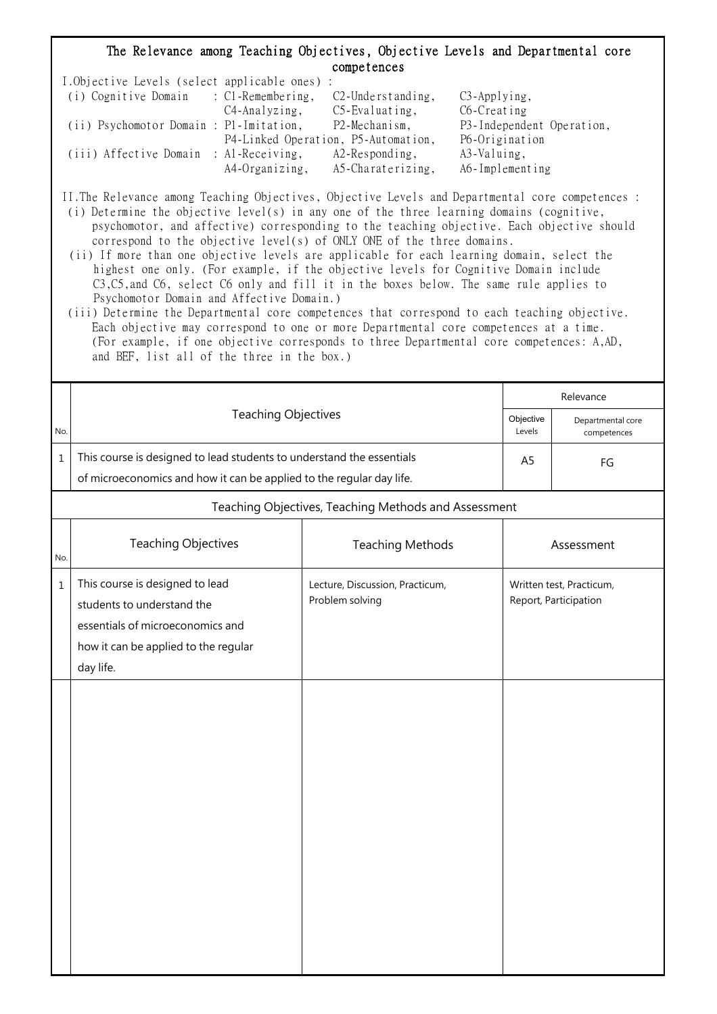## The Relevance among Teaching Objectives, Objective Levels and Departmental core competences

| I.Objective Levels (select applicable ones) : |                |                                     |                           |
|-----------------------------------------------|----------------|-------------------------------------|---------------------------|
| (i) Cognitive Domain : C1-Remembering,        |                | $C2$ -Understanding,                | $C3$ -Applying,           |
|                                               | C4-Analyzing,  | $C5$ -Evaluating,                   | C6-Creating               |
| (ii) Psychomotor Domain : P1-Imitation,       |                | P2-Mechanism,                       | P3-Independent Operation, |
|                                               |                | P4-Linked Operation, P5-Automation, | P6-Origination            |
| (iii) Affective Domain : Al-Receiving,        |                | $A2$ -Responding,                   | A3-Valuing,               |
|                                               | A4-Organizing, | A5-Charaterizing,                   | A6-Implementing           |

II.The Relevance among Teaching Objectives, Objective Levels and Departmental core competences : (i) Determine the objective level(s) in any one of the three learning domains (cognitive,

- psychomotor, and affective) corresponding to the teaching objective. Each objective should correspond to the objective level(s) of ONLY ONE of the three domains.
- (ii) If more than one objective levels are applicable for each learning domain, select the highest one only. (For example, if the objective levels for Cognitive Domain include C3,C5,and C6, select C6 only and fill it in the boxes below. The same rule applies to Psychomotor Domain and Affective Domain.)
- (iii) Determine the Departmental core competences that correspond to each teaching objective. Each objective may correspond to one or more Departmental core competences at a time. (For example, if one objective corresponds to three Departmental core competences: A,AD, and BEF, list all of the three in the box.)

|             |                                                                                                                                                        |                                                    |                     | Relevance                                         |  |  |
|-------------|--------------------------------------------------------------------------------------------------------------------------------------------------------|----------------------------------------------------|---------------------|---------------------------------------------------|--|--|
| No.         | Teaching Objectives                                                                                                                                    |                                                    | Objective<br>Levels | Departmental core<br>competences                  |  |  |
| $\mathbf 1$ | This course is designed to lead students to understand the essentials<br>of microeconomics and how it can be applied to the regular day life.          |                                                    |                     | FG                                                |  |  |
|             | Teaching Objectives, Teaching Methods and Assessment                                                                                                   |                                                    |                     |                                                   |  |  |
| No.         | Teaching Objectives                                                                                                                                    | <b>Teaching Methods</b>                            |                     | Assessment                                        |  |  |
| $\mathbf 1$ | This course is designed to lead<br>students to understand the<br>essentials of microeconomics and<br>how it can be applied to the regular<br>day life. | Lecture, Discussion, Practicum,<br>Problem solving |                     | Written test, Practicum,<br>Report, Participation |  |  |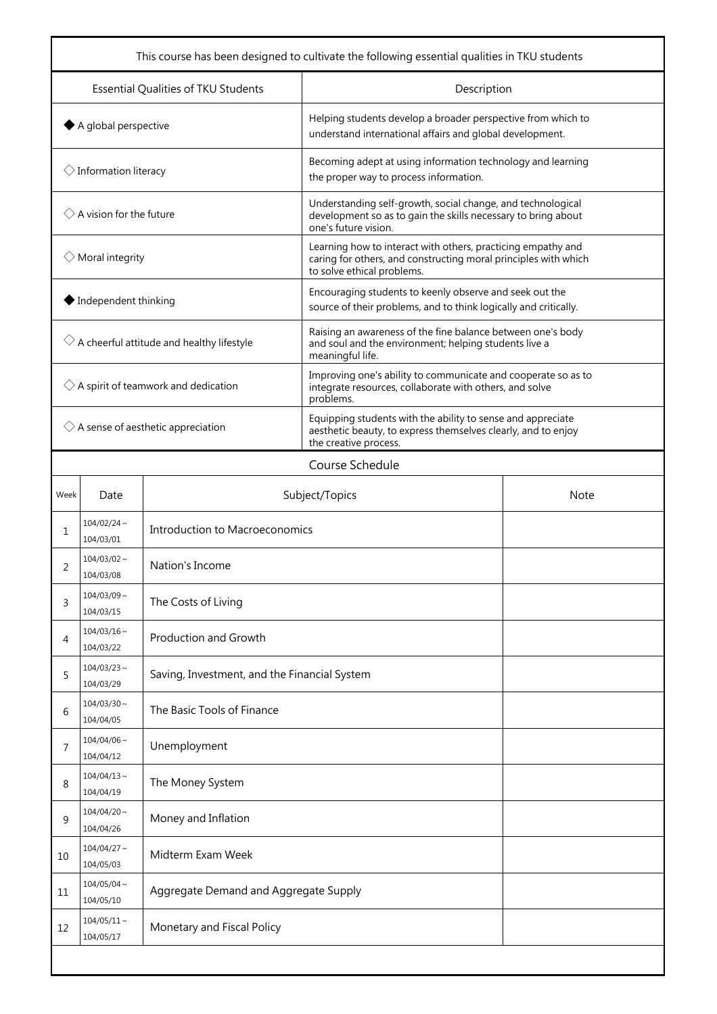| This course has been designed to cultivate the following essential qualities in TKU students |                                 |                                              |                                                                                                                                                               |  |  |
|----------------------------------------------------------------------------------------------|---------------------------------|----------------------------------------------|---------------------------------------------------------------------------------------------------------------------------------------------------------------|--|--|
|                                                                                              |                                 | Essential Qualities of TKU Students          | Description                                                                                                                                                   |  |  |
| $\blacklozenge$ A global perspective                                                         |                                 |                                              | Helping students develop a broader perspective from which to<br>understand international affairs and global development.                                      |  |  |
|                                                                                              | $\Diamond$ Information literacy |                                              | Becoming adept at using information technology and learning<br>the proper way to process information.                                                         |  |  |
| $\Diamond$ A vision for the future                                                           |                                 |                                              | Understanding self-growth, social change, and technological<br>development so as to gain the skills necessary to bring about<br>one's future vision.          |  |  |
| $\Diamond$ Moral integrity                                                                   |                                 |                                              | Learning how to interact with others, practicing empathy and<br>caring for others, and constructing moral principles with which<br>to solve ethical problems. |  |  |
|                                                                                              | ◆ Independent thinking          |                                              | Encouraging students to keenly observe and seek out the<br>source of their problems, and to think logically and critically.                                   |  |  |
| $\Diamond$ A cheerful attitude and healthy lifestyle                                         |                                 |                                              | Raising an awareness of the fine balance between one's body<br>and soul and the environment; helping students live a<br>meaningful life.                      |  |  |
| $\Diamond$ A spirit of teamwork and dedication                                               |                                 |                                              | Improving one's ability to communicate and cooperate so as to<br>integrate resources, collaborate with others, and solve<br>problems.                         |  |  |
| $\Diamond$ A sense of aesthetic appreciation                                                 |                                 |                                              | Equipping students with the ability to sense and appreciate<br>aesthetic beauty, to express themselves clearly, and to enjoy<br>the creative process.         |  |  |
|                                                                                              |                                 |                                              | Course Schedule                                                                                                                                               |  |  |
| Week                                                                                         | Date                            | Subject/Topics<br><b>Note</b>                |                                                                                                                                                               |  |  |
| 1                                                                                            | $104/02/24$ ~<br>104/03/01      | Introduction to Macroeconomics               |                                                                                                                                                               |  |  |
| 2                                                                                            | $104/03/02 \sim$<br>104/03/08   | Nation's Income                              |                                                                                                                                                               |  |  |
| 3                                                                                            | $104/03/09$ ~<br>104/03/15      | The Costs of Living                          |                                                                                                                                                               |  |  |
| 4                                                                                            | $104/03/16 \sim$<br>104/03/22   | Production and Growth                        |                                                                                                                                                               |  |  |
| 5                                                                                            | $104/03/23$ ~<br>104/03/29      | Saving, Investment, and the Financial System |                                                                                                                                                               |  |  |
| 6                                                                                            | $104/03/30 \sim$<br>104/04/05   | The Basic Tools of Finance                   |                                                                                                                                                               |  |  |
| 7                                                                                            | $104/04/06$ ~<br>104/04/12      | Unemployment                                 |                                                                                                                                                               |  |  |
| 8                                                                                            | $104/04/13 \sim$<br>104/04/19   | The Money System                             |                                                                                                                                                               |  |  |
| 9                                                                                            | $104/04/20$ ~<br>104/04/26      | Money and Inflation                          |                                                                                                                                                               |  |  |
| 10                                                                                           | $104/04/27$ ~<br>104/05/03      | Midterm Exam Week                            |                                                                                                                                                               |  |  |
| 11                                                                                           | $104/05/04 \sim$<br>104/05/10   | Aggregate Demand and Aggregate Supply        |                                                                                                                                                               |  |  |
| 12                                                                                           | $104/05/11 \sim$<br>104/05/17   | Monetary and Fiscal Policy                   |                                                                                                                                                               |  |  |
|                                                                                              |                                 |                                              |                                                                                                                                                               |  |  |